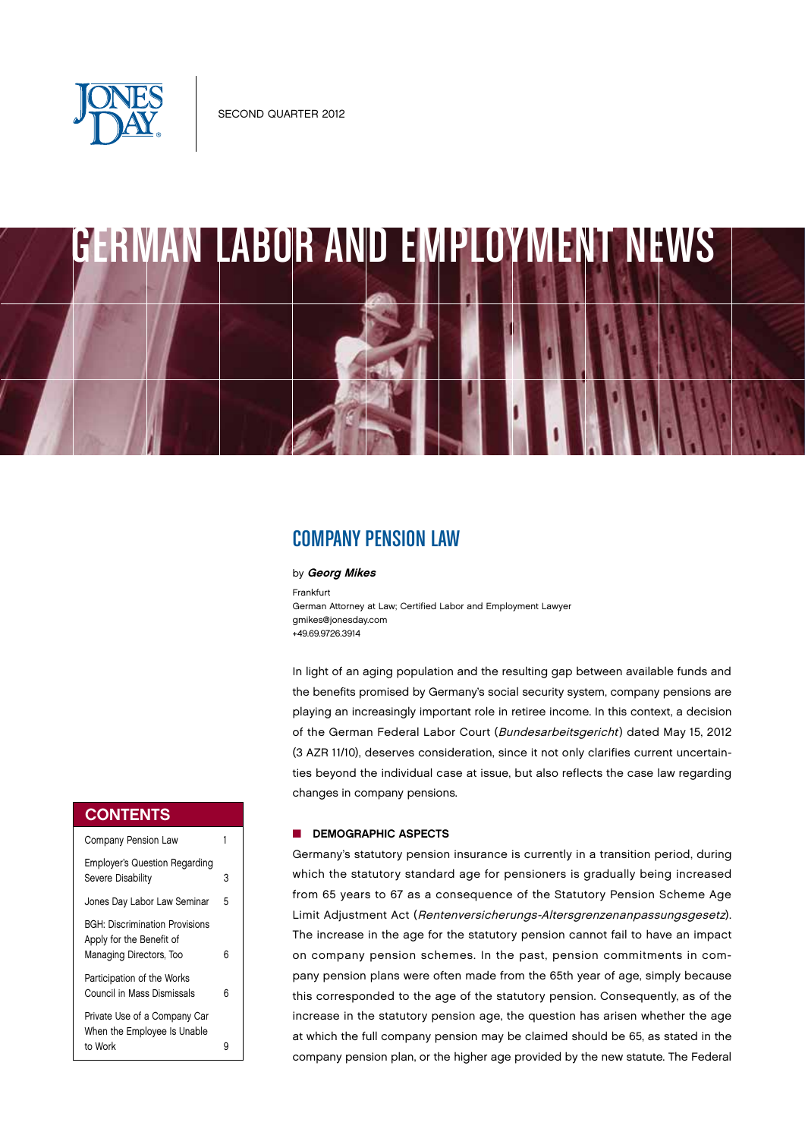

# GERMAN LABOR AND EMPLOYMENT NEWS

## COMPANY PENSION LAW

#### by Georg Mikes

Frankfurt German Attorney at Law; Certified Labor and Employment Lawyer gmikes@jonesday.com +49.69.9726.3914

In light of an aging population and the resulting gap between available funds and the benefits promised by Germany's social security system, company pensions are playing an increasingly important role in retiree income. In this context, a decision of the German Federal Labor Court (Bundesarbeitsgericht) dated May 15, 2012 (3 AZR 11/10), deserves consideration, since it not only clarifies current uncertainties beyond the individual case at issue, but also reflects the case law regarding changes in company pensions.

#### DEMOGRAPHIC ASPECTS

Germany's statutory pension insurance is currently in a transition period, during which the statutory standard age for pensioners is gradually being increased from 65 years to 67 as a consequence of the Statutory Pension Scheme Age Limit Adjustment Act (Rentenversicherungs-Altersgrenzenanpassungsgesetz). The increase in the age for the statutory pension cannot fail to have an impact on company pension schemes. In the past, pension commitments in company pension plans were often made from the 65th year of age, simply because this corresponded to the age of the statutory pension. Consequently, as of the increase in the statutory pension age, the question has arisen whether the age at which the full company pension may be claimed should be 65, as stated in the company pension plan, or the higher age provided by the new statute. The Federal

#### **CONTENTS**

| Company Pension Law                                                                          |   |
|----------------------------------------------------------------------------------------------|---|
| <b>Employer's Question Regarding</b><br>Severe Disability                                    | 3 |
| Jones Day Labor Law Seminar                                                                  | 5 |
| <b>BGH: Discrimination Provisions</b><br>Apply for the Benefit of<br>Managing Directors, Too | 6 |
| Participation of the Works<br>Council in Mass Dismissals                                     | 6 |
| Private Use of a Company Car<br>When the Employee Is Unable<br>to Work                       | g |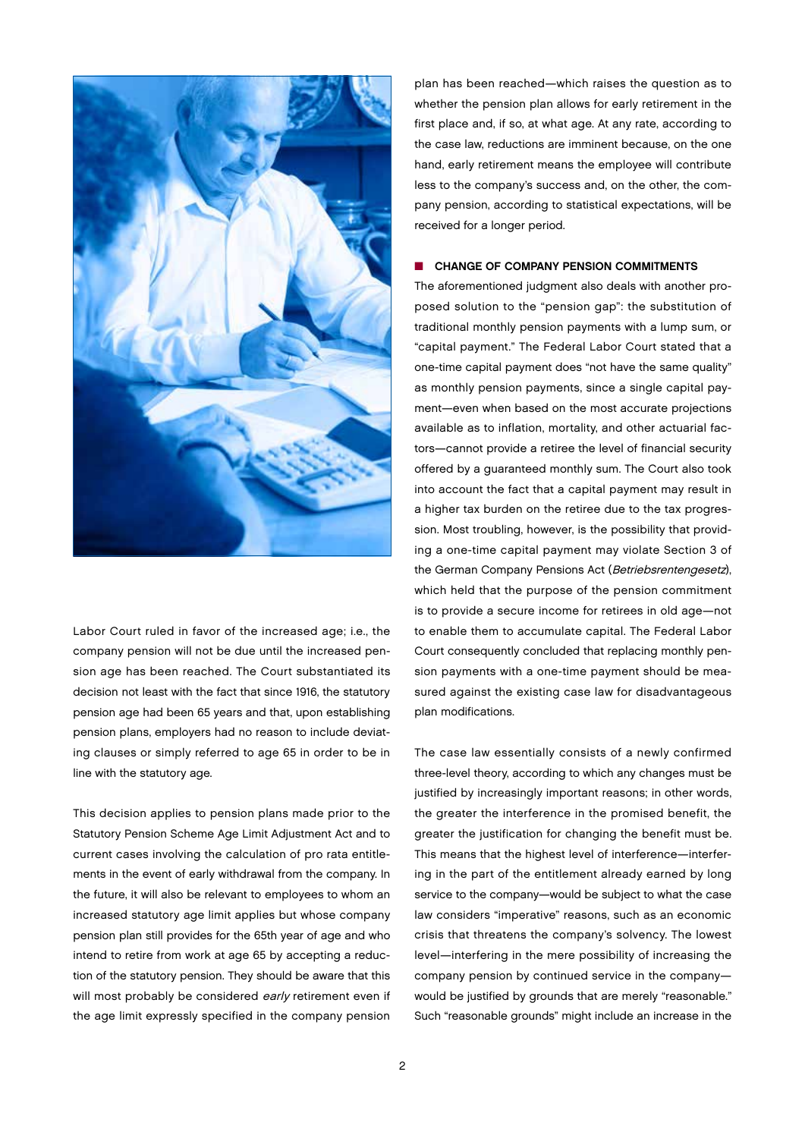

Labor Court ruled in favor of the increased age; i.e., the company pension will not be due until the increased pension age has been reached. The Court substantiated its decision not least with the fact that since 1916, the statutory pension age had been 65 years and that, upon establishing pension plans, employers had no reason to include deviating clauses or simply referred to age 65 in order to be in line with the statutory age.

This decision applies to pension plans made prior to the Statutory Pension Scheme Age Limit Adjustment Act and to current cases involving the calculation of pro rata entitlements in the event of early withdrawal from the company. In the future, it will also be relevant to employees to whom an increased statutory age limit applies but whose company pension plan still provides for the 65th year of age and who intend to retire from work at age 65 by accepting a reduction of the statutory pension. They should be aware that this will most probably be considered early retirement even if the age limit expressly specified in the company pension

plan has been reached—which raises the question as to whether the pension plan allows for early retirement in the first place and, if so, at what age. At any rate, according to the case law, reductions are imminent because, on the one hand, early retirement means the employee will contribute less to the company's success and, on the other, the company pension, according to statistical expectations, will be received for a longer period.

#### **n** CHANGE OF COMPANY PENSION COMMITMENTS

The aforementioned judgment also deals with another proposed solution to the "pension gap": the substitution of traditional monthly pension payments with a lump sum, or "capital payment." The Federal Labor Court stated that a one-time capital payment does "not have the same quality" as monthly pension payments, since a single capital payment—even when based on the most accurate projections available as to inflation, mortality, and other actuarial factors—cannot provide a retiree the level of financial security offered by a guaranteed monthly sum. The Court also took into account the fact that a capital payment may result in a higher tax burden on the retiree due to the tax progression. Most troubling, however, is the possibility that providing a one-time capital payment may violate Section 3 of the German Company Pensions Act (Betriebsrentengesetz), which held that the purpose of the pension commitment is to provide a secure income for retirees in old age—not to enable them to accumulate capital. The Federal Labor Court consequently concluded that replacing monthly pension payments with a one-time payment should be measured against the existing case law for disadvantageous plan modifications.

The case law essentially consists of a newly confirmed three-level theory, according to which any changes must be justified by increasingly important reasons; in other words. the greater the interference in the promised benefit, the greater the justification for changing the benefit must be. This means that the highest level of interference—interfering in the part of the entitlement already earned by long service to the company—would be subject to what the case law considers "imperative" reasons, such as an economic crisis that threatens the company's solvency. The lowest level—interfering in the mere possibility of increasing the company pension by continued service in the company would be justified by grounds that are merely "reasonable." Such "reasonable grounds" might include an increase in the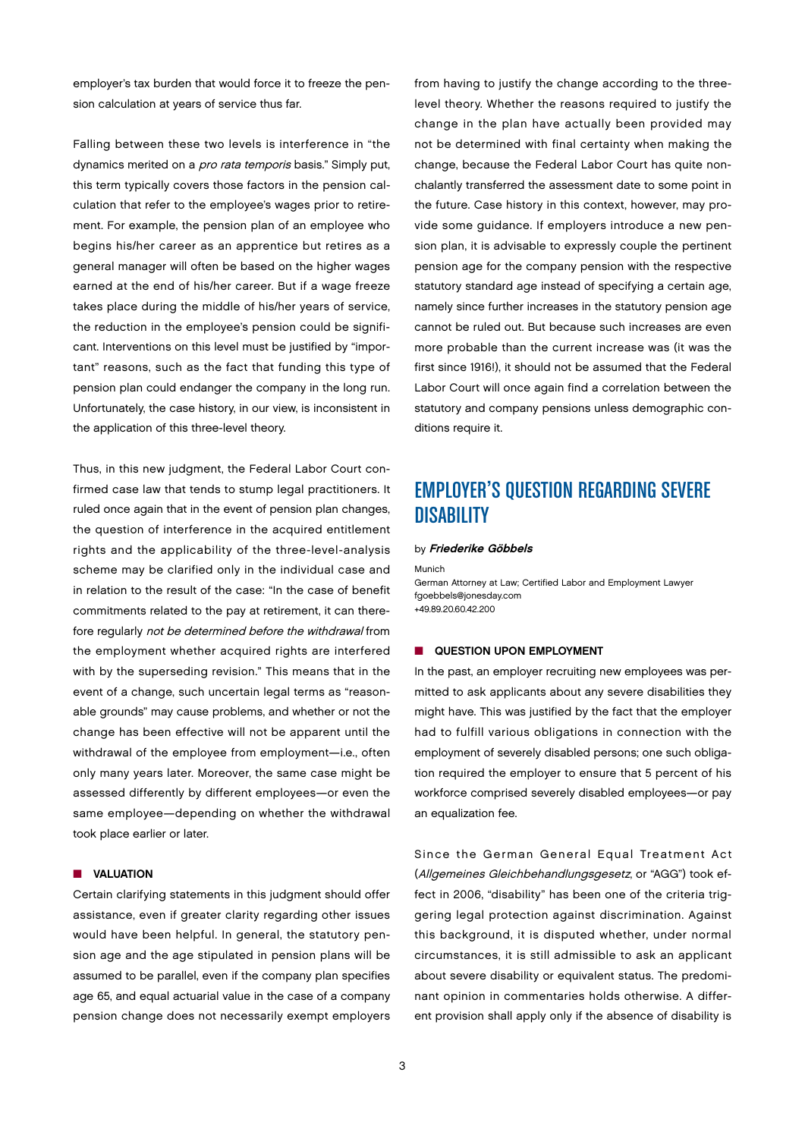employer's tax burden that would force it to freeze the pension calculation at years of service thus far.

Falling between these two levels is interference in "the dynamics merited on a pro rata temporis basis." Simply put, this term typically covers those factors in the pension calculation that refer to the employee's wages prior to retirement. For example, the pension plan of an employee who begins his/her career as an apprentice but retires as a general manager will often be based on the higher wages earned at the end of his/her career. But if a wage freeze takes place during the middle of his/her years of service, the reduction in the employee's pension could be significant. Interventions on this level must be justified by "important" reasons, such as the fact that funding this type of pension plan could endanger the company in the long run. Unfortunately, the case history, in our view, is inconsistent in the application of this three-level theory.

Thus, in this new judgment, the Federal Labor Court confirmed case law that tends to stump legal practitioners. It ruled once again that in the event of pension plan changes, the question of interference in the acquired entitlement rights and the applicability of the three-level-analysis scheme may be clarified only in the individual case and in relation to the result of the case: "In the case of benefit commitments related to the pay at retirement, it can therefore regularly not be determined before the withdrawal from the employment whether acquired rights are interfered with by the superseding revision." This means that in the event of a change, such uncertain legal terms as "reasonable grounds" may cause problems, and whether or not the change has been effective will not be apparent until the withdrawal of the employee from employment—i.e., often only many years later. Moreover, the same case might be assessed differently by different employees—or even the same employee—depending on whether the withdrawal took place earlier or later.

#### **N** VALUATION

Certain clarifying statements in this judgment should offer assistance, even if greater clarity regarding other issues would have been helpful. In general, the statutory pension age and the age stipulated in pension plans will be assumed to be parallel, even if the company plan specifies age 65, and equal actuarial value in the case of a company pension change does not necessarily exempt employers

from having to justify the change according to the threelevel theory. Whether the reasons required to justify the change in the plan have actually been provided may not be determined with final certainty when making the change, because the Federal Labor Court has quite nonchalantly transferred the assessment date to some point in the future. Case history in this context, however, may provide some guidance. If employers introduce a new pension plan, it is advisable to expressly couple the pertinent pension age for the company pension with the respective statutory standard age instead of specifying a certain age, namely since further increases in the statutory pension age cannot be ruled out. But because such increases are even more probable than the current increase was (it was the first since 1916!), it should not be assumed that the Federal Labor Court will once again find a correlation between the statutory and company pensions unless demographic conditions require it.

# EMPLOYER'S QUESTION REGARDING SEVERE **DISABILITY**

#### by Friederike Göbbels

Munich German Attorney at Law; Certified Labor and Employment Lawyer fgoebbels@jonesday.com +49.89.20.60.42.200

#### **NO QUESTION UPON EMPLOYMENT**

In the past, an employer recruiting new employees was permitted to ask applicants about any severe disabilities they might have. This was justified by the fact that the employer had to fulfill various obligations in connection with the employment of severely disabled persons; one such obligation required the employer to ensure that 5 percent of his workforce comprised severely disabled employees—or pay an equalization fee.

Since the German General Equal Treatment Act (Allgemeines Gleichbehandlungsgesetz, or "AGG") took effect in 2006, "disability" has been one of the criteria triggering legal protection against discrimination. Against this background, it is disputed whether, under normal circumstances, it is still admissible to ask an applicant about severe disability or equivalent status. The predominant opinion in commentaries holds otherwise. A different provision shall apply only if the absence of disability is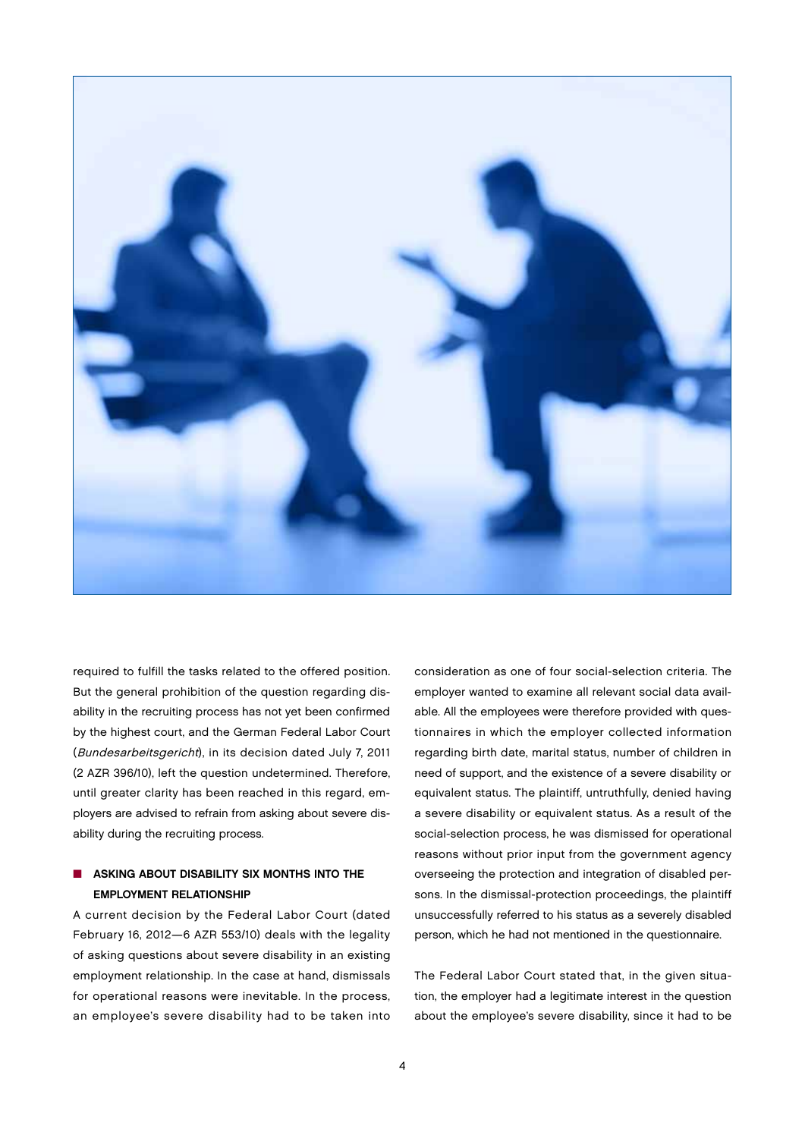

required to fulfill the tasks related to the offered position. But the general prohibition of the question regarding disability in the recruiting process has not yet been confirmed by the highest court, and the German Federal Labor Court (Bundesarbeitsgericht), in its decision dated July 7, 2011 (2 AZR 396/10), left the question undetermined. Therefore, until greater clarity has been reached in this regard, employers are advised to refrain from asking about severe disability during the recruiting process.

## $\blacksquare$  ASKING ABOUT DISABILITY SIX MONTHS INTO THE EMPLOYMENT RELATIONSHIP

A current decision by the Federal Labor Court (dated February 16, 2012—6 AZR 553/10) deals with the legality of asking questions about severe disability in an existing employment relationship. In the case at hand, dismissals for operational reasons were inevitable. In the process, an employee's severe disability had to be taken into

consideration as one of four social-selection criteria. The employer wanted to examine all relevant social data available. All the employees were therefore provided with questionnaires in which the employer collected information regarding birth date, marital status, number of children in need of support, and the existence of a severe disability or equivalent status. The plaintiff, untruthfully, denied having a severe disability or equivalent status. As a result of the social-selection process, he was dismissed for operational reasons without prior input from the government agency overseeing the protection and integration of disabled persons. In the dismissal-protection proceedings, the plaintiff unsuccessfully referred to his status as a severely disabled person, which he had not mentioned in the questionnaire.

The Federal Labor Court stated that, in the given situation, the employer had a legitimate interest in the question about the employee's severe disability, since it had to be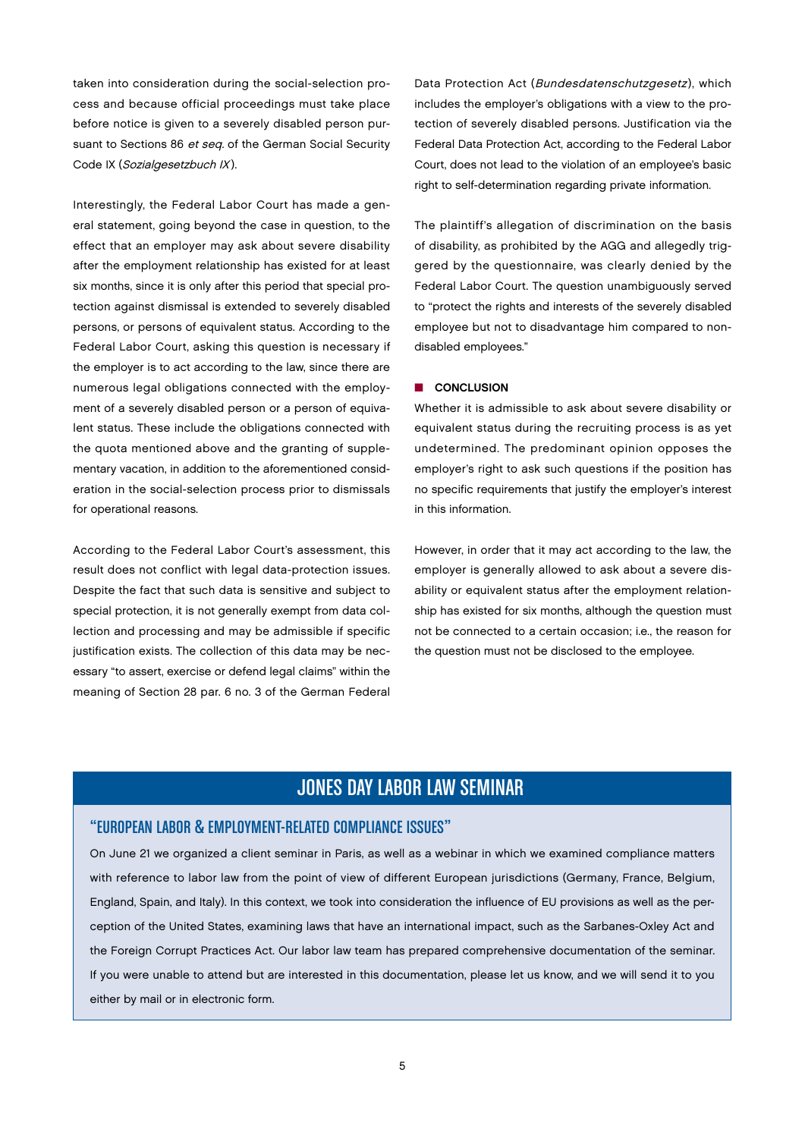taken into consideration during the social-selection process and because official proceedings must take place before notice is given to a severely disabled person pursuant to Sections 86 et seq. of the German Social Security Code IX (Sozialgesetzbuch IX).

Interestingly, the Federal Labor Court has made a general statement, going beyond the case in question, to the effect that an employer may ask about severe disability after the employment relationship has existed for at least six months, since it is only after this period that special protection against dismissal is extended to severely disabled persons, or persons of equivalent status. According to the Federal Labor Court, asking this question is necessary if the employer is to act according to the law, since there are numerous legal obligations connected with the employment of a severely disabled person or a person of equivalent status. These include the obligations connected with the quota mentioned above and the granting of supplementary vacation, in addition to the aforementioned consideration in the social-selection process prior to dismissals for operational reasons.

According to the Federal Labor Court's assessment, this result does not conflict with legal data-protection issues. Despite the fact that such data is sensitive and subject to special protection, it is not generally exempt from data collection and processing and may be admissible if specific justification exists. The collection of this data may be necessary "to assert, exercise or defend legal claims" within the meaning of Section 28 par. 6 no. 3 of the German Federal

Data Protection Act (Bundesdatenschutzgesetz), which includes the employer's obligations with a view to the protection of severely disabled persons. Justification via the Federal Data Protection Act, according to the Federal Labor Court, does not lead to the violation of an employee's basic right to self-determination regarding private information.

The plaintiff's allegation of discrimination on the basis of disability, as prohibited by the AGG and allegedly triggered by the questionnaire, was clearly denied by the Federal Labor Court. The question unambiguously served to "protect the rights and interests of the severely disabled employee but not to disadvantage him compared to nondisabled employees."

#### **n** CONCLUSION

Whether it is admissible to ask about severe disability or equivalent status during the recruiting process is as yet undetermined. The predominant opinion opposes the employer's right to ask such questions if the position has no specific requirements that justify the employer's interest in this information.

However, in order that it may act according to the law, the employer is generally allowed to ask about a severe disability or equivalent status after the employment relationship has existed for six months, although the question must not be connected to a certain occasion; i.e., the reason for the question must not be disclosed to the employee.

# JONES DAY LABOR LAW SEMINAR

## "EUROPEAN LABOR & EMPLOYMENT-RELATED COMPLIANCE ISSUES"

On June 21 we organized a client seminar in Paris, as well as a webinar in which we examined compliance matters with reference to labor law from the point of view of different European jurisdictions (Germany, France, Belgium, England, Spain, and Italy). In this context, we took into consideration the influence of EU provisions as well as the perception of the United States, examining laws that have an international impact, such as the Sarbanes-Oxley Act and the Foreign Corrupt Practices Act. Our labor law team has prepared comprehensive documentation of the seminar. If you were unable to attend but are interested in this documentation, please let us know, and we will send it to you either by mail or in electronic form.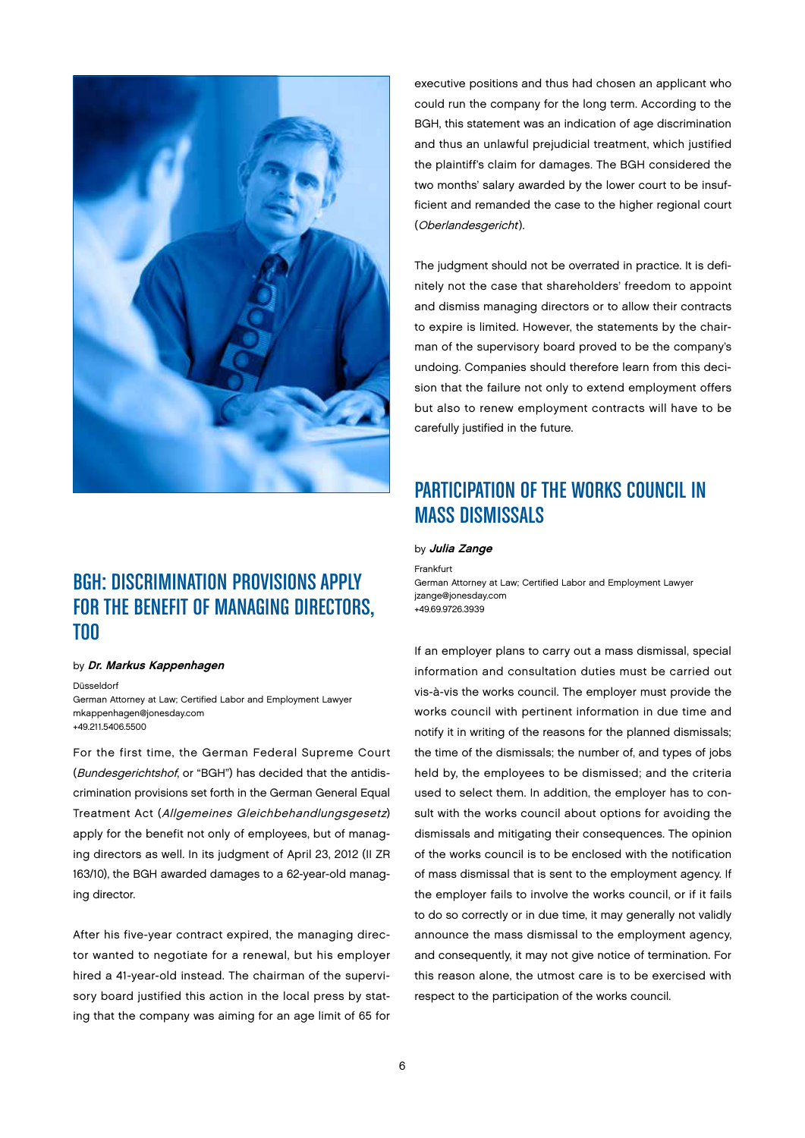

# BGH: DISCRIMINATION PROVISIONS APPLY FOR THE BENEFIT OF MANAGING DIRECTORS, TOO

#### by Dr. Markus Kappenhagen

Düsseldorf

German Attorney at Law; Certified Labor and Employment Lawyer mkappenhagen@jonesday.com +49.211.5406.5500

For the first time, the German Federal Supreme Court (Bundesgerichtshof, or "BGH") has decided that the antidiscrimination provisions set forth in the German General Equal Treatment Act (Allgemeines Gleichbehandlungsgesetz) apply for the benefit not only of employees, but of managing directors as well. In its judgment of April 23, 2012 (II ZR 163/10), the BGH awarded damages to a 62-year-old managing director.

After his five-year contract expired, the managing director wanted to negotiate for a renewal, but his employer hired a 41-year-old instead. The chairman of the supervisory board justified this action in the local press by stating that the company was aiming for an age limit of 65 for

executive positions and thus had chosen an applicant who could run the company for the long term. According to the BGH, this statement was an indication of age discrimination and thus an unlawful prejudicial treatment, which justified the plaintiff's claim for damages. The BGH considered the two months' salary awarded by the lower court to be insufficient and remanded the case to the higher regional court (Oberlandesgericht).

The judgment should not be overrated in practice. It is definitely not the case that shareholders' freedom to appoint and dismiss managing directors or to allow their contracts to expire is limited. However, the statements by the chairman of the supervisory board proved to be the company's undoing. Companies should therefore learn from this decision that the failure not only to extend employment offers but also to renew employment contracts will have to be carefully justified in the future.

# PARTICIPATION OF THE WORKS COUNCIL IN MASS DISMISSALS

by Julia Zange

Frankfurt German Attorney at Law; Certified Labor and Employment Lawyer jzange@jonesday.com +49.69.9726.3939

If an employer plans to carry out a mass dismissal, special information and consultation duties must be carried out vis-à-vis the works council. The employer must provide the works council with pertinent information in due time and notify it in writing of the reasons for the planned dismissals; the time of the dismissals; the number of, and types of jobs held by, the employees to be dismissed; and the criteria used to select them. In addition, the employer has to consult with the works council about options for avoiding the dismissals and mitigating their consequences. The opinion of the works council is to be enclosed with the notification of mass dismissal that is sent to the employment agency. If the employer fails to involve the works council, or if it fails to do so correctly or in due time, it may generally not validly announce the mass dismissal to the employment agency, and consequently, it may not give notice of termination. For this reason alone, the utmost care is to be exercised with respect to the participation of the works council.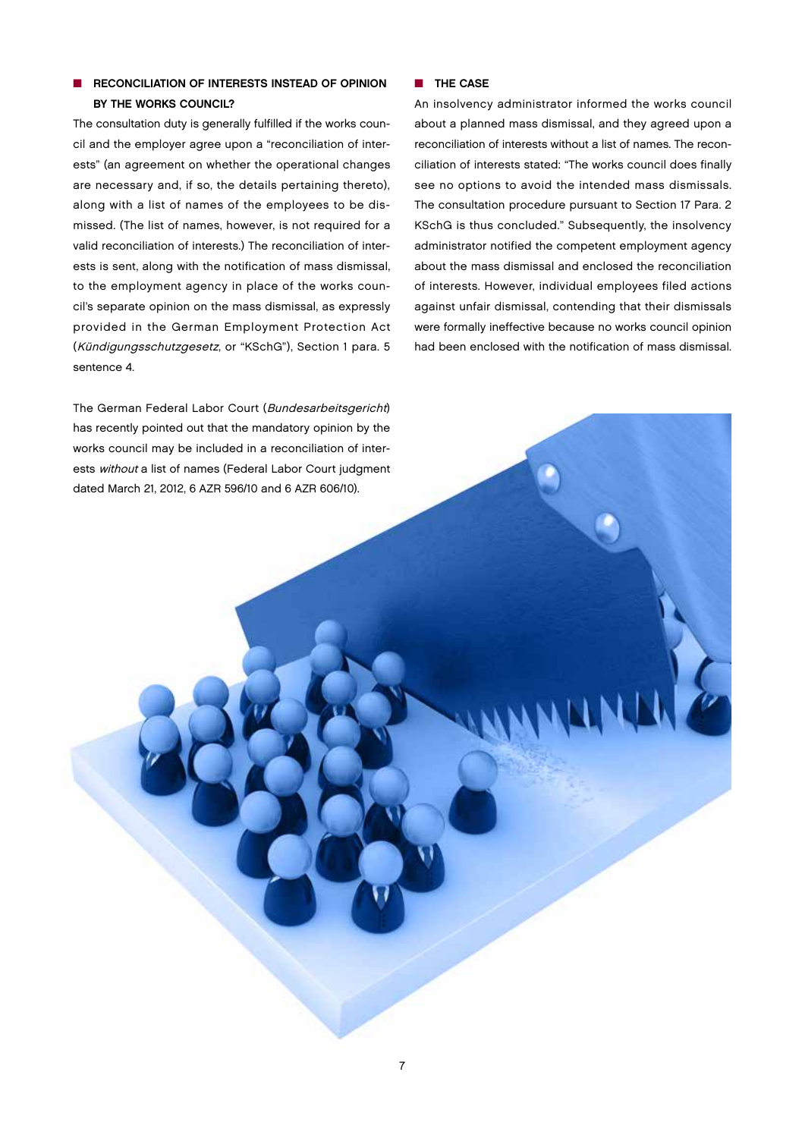## **NO RECONCILIATION OF INTERESTS INSTEAD OF OPINION** BY THE WORKS COUNCIL?

The consultation duty is generally fulfilled if the works council and the employer agree upon a "reconciliation of interests" (an agreement on whether the operational changes are necessary and, if so, the details pertaining thereto), along with a list of names of the employees to be dismissed. (The list of names, however, is not required for a valid reconciliation of interests.) The reconciliation of interests is sent, along with the notification of mass dismissal, to the employment agency in place of the works council's separate opinion on the mass dismissal, as expressly provided in the German Employment Protection Act (Kündigungsschutzgesetz, or "KSchG"), Section 1 para. 5 sentence 4.

The German Federal Labor Court (Bundesarbeitsgericht) has recently pointed out that the mandatory opinion by the works council may be included in a reconciliation of interests without a list of names (Federal Labor Court judgment dated March 21, 2012, 6 AZR 596/10 and 6 AZR 606/10).

#### $\blacksquare$  THE CASE

An insolvency administrator informed the works council about a planned mass dismissal, and they agreed upon a reconciliation of interests without a list of names. The reconciliation of interests stated: "The works council does finally see no options to avoid the intended mass dismissals. The consultation procedure pursuant to Section 17 Para. 2 KSchG is thus concluded." Subsequently, the insolvency administrator notified the competent employment agency about the mass dismissal and enclosed the reconciliation of interests. However, individual employees filed actions against unfair dismissal, contending that their dismissals were formally ineffective because no works council opinion had been enclosed with the notification of mass dismissal.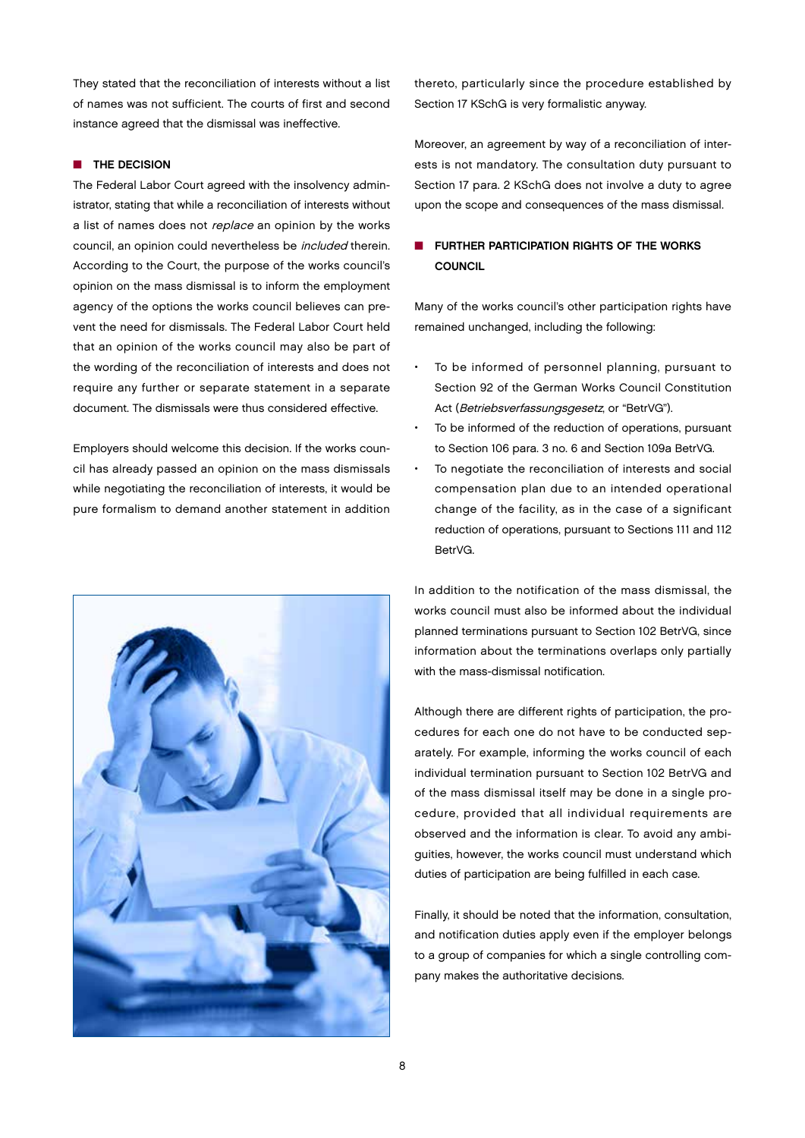They stated that the reconciliation of interests without a list of names was not sufficient. The courts of first and second instance agreed that the dismissal was ineffective.

#### **NO THE DECISION**

The Federal Labor Court agreed with the insolvency administrator, stating that while a reconciliation of interests without a list of names does not replace an opinion by the works council, an opinion could nevertheless be included therein. According to the Court, the purpose of the works council's opinion on the mass dismissal is to inform the employment agency of the options the works council believes can prevent the need for dismissals. The Federal Labor Court held that an opinion of the works council may also be part of the wording of the reconciliation of interests and does not require any further or separate statement in a separate document. The dismissals were thus considered effective.

Employers should welcome this decision. If the works council has already passed an opinion on the mass dismissals while negotiating the reconciliation of interests, it would be pure formalism to demand another statement in addition



thereto, particularly since the procedure established by Section 17 KSchG is very formalistic anyway.

Moreover, an agreement by way of a reconciliation of interests is not mandatory. The consultation duty pursuant to Section 17 para. 2 KSchG does not involve a duty to agree upon the scope and consequences of the mass dismissal.

## **N** FURTHER PARTICIPATION RIGHTS OF THE WORKS **COUNCIL**

Many of the works council's other participation rights have remained unchanged, including the following:

- To be informed of personnel planning, pursuant to Section 92 of the German Works Council Constitution Act (Betriebsverfassungsgesetz, or "BetrVG").
- To be informed of the reduction of operations, pursuant to Section 106 para. 3 no. 6 and Section 109a BetrVG.
- To negotiate the reconciliation of interests and social compensation plan due to an intended operational change of the facility, as in the case of a significant reduction of operations, pursuant to Sections 111 and 112 BetrVG.

In addition to the notification of the mass dismissal, the works council must also be informed about the individual planned terminations pursuant to Section 102 BetrVG, since information about the terminations overlaps only partially with the mass-dismissal notification.

Although there are different rights of participation, the procedures for each one do not have to be conducted separately. For example, informing the works council of each individual termination pursuant to Section 102 BetrVG and of the mass dismissal itself may be done in a single procedure, provided that all individual requirements are observed and the information is clear. To avoid any ambiguities, however, the works council must understand which duties of participation are being fulfilled in each case.

Finally, it should be noted that the information, consultation, and notification duties apply even if the employer belongs to a group of companies for which a single controlling company makes the authoritative decisions.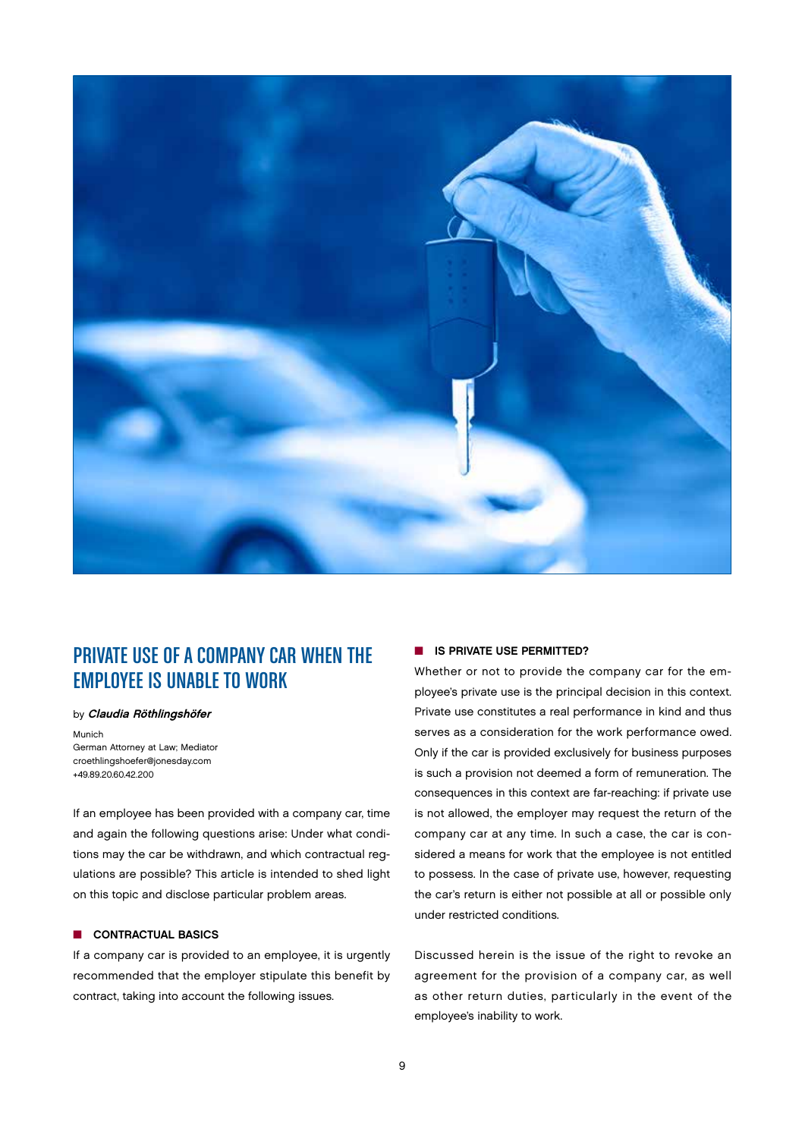

# PRIVATE USE OF A COMPANY CAR WHEN THE EMPLOYEE IS UNABLE TO WORK

#### by Claudia Röthlingshöfer

Munich

German Attorney at Law; Mediator croethlingshoefer@jonesday.com +49.89.20.60.42.200

If an employee has been provided with a company car, time and again the following questions arise: Under what conditions may the car be withdrawn, and which contractual regulations are possible? This article is intended to shed light on this topic and disclose particular problem areas.

#### **n** CONTRACTUAL BASICS

If a company car is provided to an employee, it is urgently recommended that the employer stipulate this benefit by contract, taking into account the following issues.

#### **N** IS PRIVATE USE PERMITTED?

Whether or not to provide the company car for the employee's private use is the principal decision in this context. Private use constitutes a real performance in kind and thus serves as a consideration for the work performance owed. Only if the car is provided exclusively for business purposes is such a provision not deemed a form of remuneration. The consequences in this context are far-reaching: if private use is not allowed, the employer may request the return of the company car at any time. In such a case, the car is considered a means for work that the employee is not entitled to possess. In the case of private use, however, requesting the car's return is either not possible at all or possible only under restricted conditions.

Discussed herein is the issue of the right to revoke an agreement for the provision of a company car, as well as other return duties, particularly in the event of the employee's inability to work.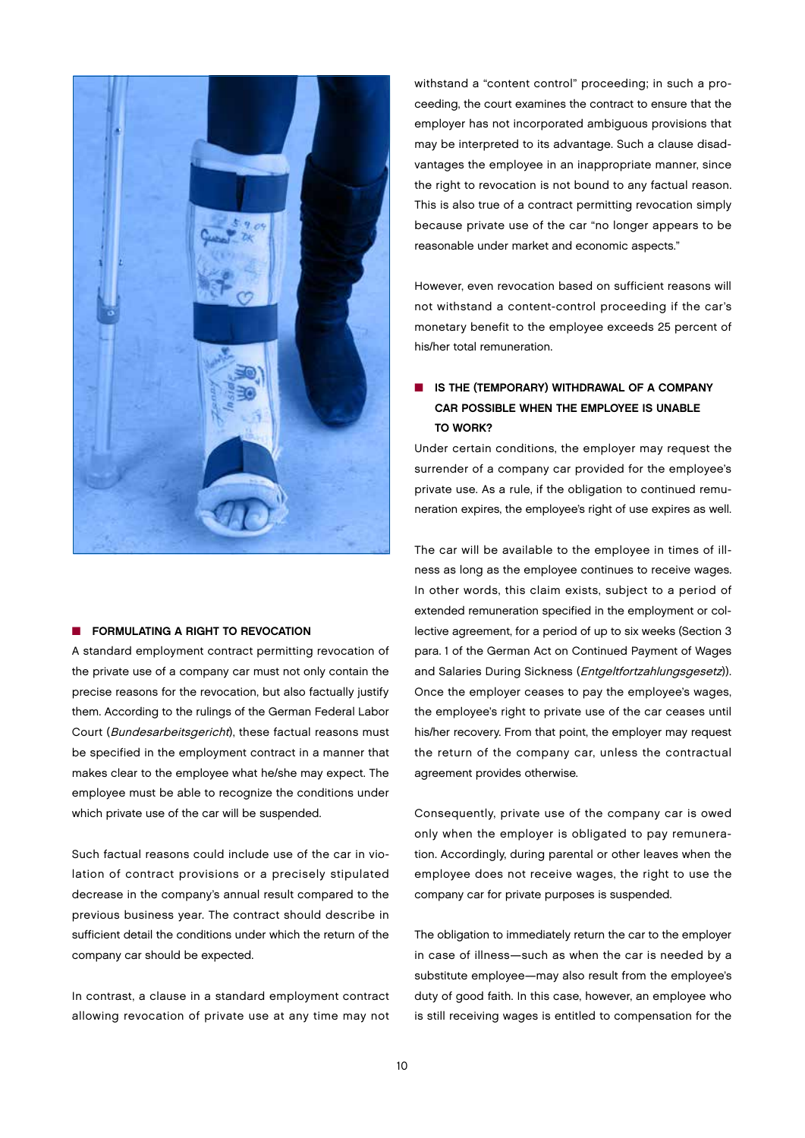

#### **N** FORMULATING A RIGHT TO REVOCATION

A standard employment contract permitting revocation of the private use of a company car must not only contain the precise reasons for the revocation, but also factually justify them. According to the rulings of the German Federal Labor Court (Bundesarbeitsgericht), these factual reasons must be specified in the employment contract in a manner that makes clear to the employee what he/she may expect. The employee must be able to recognize the conditions under which private use of the car will be suspended.

Such factual reasons could include use of the car in violation of contract provisions or a precisely stipulated decrease in the company's annual result compared to the previous business year. The contract should describe in sufficient detail the conditions under which the return of the company car should be expected.

In contrast, a clause in a standard employment contract allowing revocation of private use at any time may not

withstand a "content control" proceeding; in such a proceeding, the court examines the contract to ensure that the employer has not incorporated ambiguous provisions that may be interpreted to its advantage. Such a clause disadvantages the employee in an inappropriate manner, since the right to revocation is not bound to any factual reason. This is also true of a contract permitting revocation simply because private use of the car "no longer appears to be reasonable under market and economic aspects."

However, even revocation based on sufficient reasons will not withstand a content-control proceeding if the car's monetary benefit to the employee exceeds 25 percent of his/her total remuneration.

## **N** IS THE (TEMPORARY) WITHDRAWAL OF A COMPANY CAR POSSIBLE WHEN THE EMPLOYEE IS UNABLE TO WORK?

Under certain conditions, the employer may request the surrender of a company car provided for the employee's private use. As a rule, if the obligation to continued remuneration expires, the employee's right of use expires as well.

The car will be available to the employee in times of illness as long as the employee continues to receive wages. In other words, this claim exists, subject to a period of extended remuneration specified in the employment or collective agreement, for a period of up to six weeks (Section 3 para. 1 of the German Act on Continued Payment of Wages and Salaries During Sickness (Entgeltfortzahlungsgesetz)). Once the employer ceases to pay the employee's wages, the employee's right to private use of the car ceases until his/her recovery. From that point, the employer may request the return of the company car, unless the contractual agreement provides otherwise.

Consequently, private use of the company car is owed only when the employer is obligated to pay remuneration. Accordingly, during parental or other leaves when the employee does not receive wages, the right to use the company car for private purposes is suspended.

The obligation to immediately return the car to the employer in case of illness—such as when the car is needed by a substitute employee—may also result from the employee's duty of good faith. In this case, however, an employee who is still receiving wages is entitled to compensation for the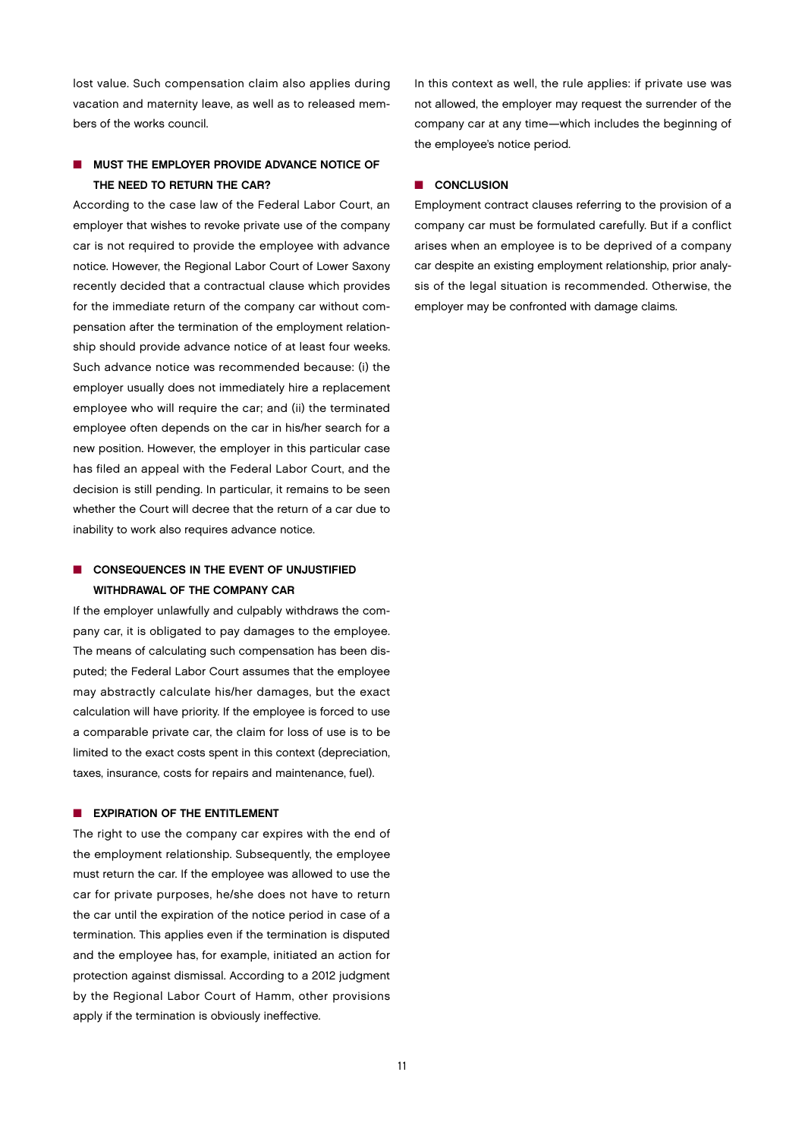lost value. Such compensation claim also applies during vacation and maternity leave, as well as to released members of the works council.

## **NUST THE EMPLOYER PROVIDE ADVANCE NOTICE OF** THE NEED TO RETURN THE CAR?

According to the case law of the Federal Labor Court, an employer that wishes to revoke private use of the company car is not required to provide the employee with advance notice. However, the Regional Labor Court of Lower Saxony recently decided that a contractual clause which provides for the immediate return of the company car without compensation after the termination of the employment relationship should provide advance notice of at least four weeks. Such advance notice was recommended because: (i) the employer usually does not immediately hire a replacement employee who will require the car; and (ii) the terminated employee often depends on the car in his/her search for a new position. However, the employer in this particular case has filed an appeal with the Federal Labor Court, and the decision is still pending. In particular, it remains to be seen whether the Court will decree that the return of a car due to inability to work also requires advance notice.

## **N** CONSEQUENCES IN THE EVENT OF UNJUSTIFIED WITHDRAWAL OF THE COMPANY CAR

If the employer unlawfully and culpably withdraws the company car, it is obligated to pay damages to the employee. The means of calculating such compensation has been disputed; the Federal Labor Court assumes that the employee may abstractly calculate his/her damages, but the exact calculation will have priority. If the employee is forced to use a comparable private car, the claim for loss of use is to be limited to the exact costs spent in this context (depreciation, taxes, insurance, costs for repairs and maintenance, fuel).

#### **NO EXPIRATION OF THE ENTITLEMENT**

The right to use the company car expires with the end of the employment relationship. Subsequently, the employee must return the car. If the employee was allowed to use the car for private purposes, he/she does not have to return the car until the expiration of the notice period in case of a termination. This applies even if the termination is disputed and the employee has, for example, initiated an action for protection against dismissal. According to a 2012 judgment by the Regional Labor Court of Hamm, other provisions apply if the termination is obviously ineffective.

In this context as well, the rule applies: if private use was not allowed, the employer may request the surrender of the company car at any time—which includes the beginning of the employee's notice period.

#### CONCLUSION

Employment contract clauses referring to the provision of a company car must be formulated carefully. But if a conflict arises when an employee is to be deprived of a company car despite an existing employment relationship, prior analysis of the legal situation is recommended. Otherwise, the employer may be confronted with damage claims.